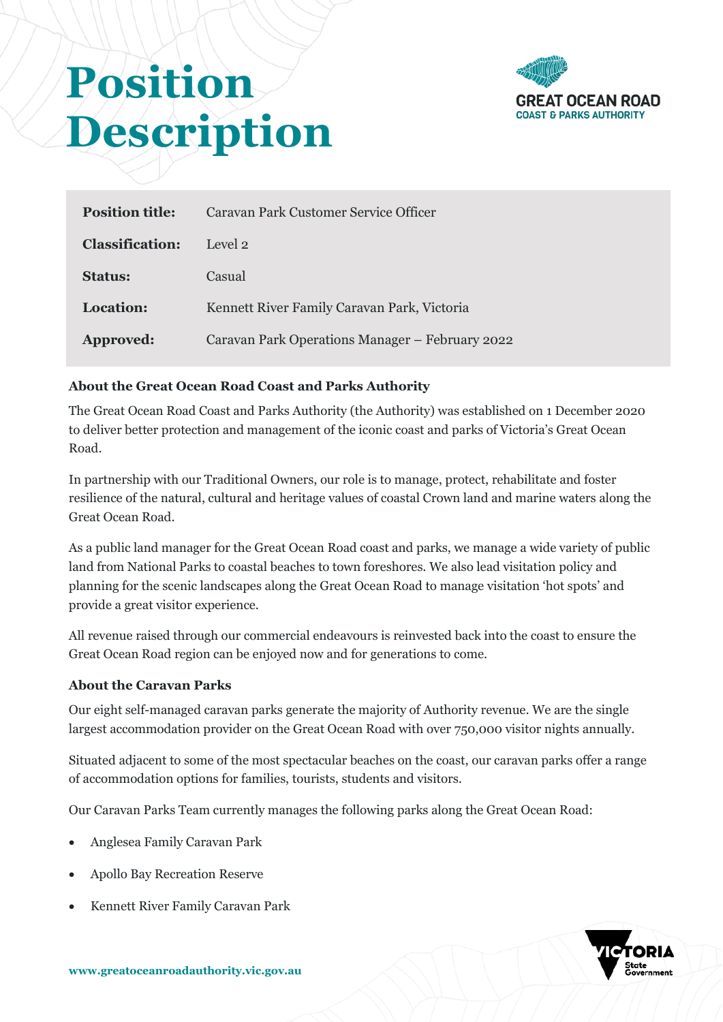

# **Position Description**

| <b>Position title:</b> | Caravan Park Customer Service Officer           |
|------------------------|-------------------------------------------------|
| <b>Classification:</b> | Level 2                                         |
| <b>Status:</b>         | Casual                                          |
| <b>Location:</b>       | Kennett River Family Caravan Park, Victoria     |
| Approved:              | Caravan Park Operations Manager – February 2022 |

# **About the Great Ocean Road Coast and Parks Authority**

The Great Ocean Road Coast and Parks Authority (the Authority) was established on 1 December 2020 to deliver better protection and management of the iconic coast and parks of Victoria's Great Ocean Road.

In partnership with our Traditional Owners, our role is to manage, protect, rehabilitate and foster resilience of the natural, cultural and heritage values of coastal Crown land and marine waters along the Great Ocean Road.

As a public land manager for the Great Ocean Road coast and parks, we manage a wide variety of public land from National Parks to coastal beaches to town foreshores. We also lead visitation policy and planning for the scenic landscapes along the Great Ocean Road to manage visitation 'hot spots' and provide a great visitor experience.

All revenue raised through our commercial endeavours is reinvested back into the coast to ensure the Great Ocean Road region can be enjoyed now and for generations to come.

## **About the Caravan Parks**

Our eight self-managed caravan parks generate the majority of Authority revenue. We are the single largest accommodation provider on the Great Ocean Road with over 750,000 visitor nights annually.

Situated adjacent to some of the most spectacular beaches on the coast, our caravan parks offer a range of accommodation options for families, tourists, students and visitors.

Our Caravan Parks Team currently manages the following parks along the Great Ocean Road:

- Anglesea Family Caravan Park
- Apollo Bay Recreation Reserve
- Kennett River Family Caravan Park

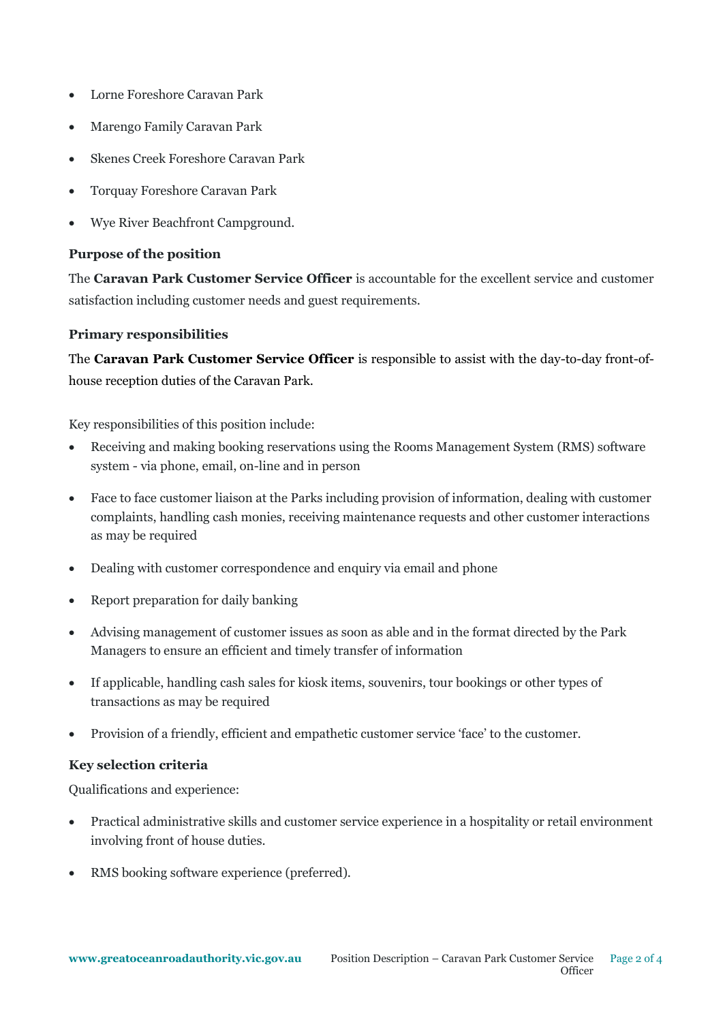- Lorne Foreshore Caravan Park
- Marengo Family Caravan Park
- Skenes Creek Foreshore Caravan Park
- Torquay Foreshore Caravan Park
- Wye River Beachfront Campground.

#### **Purpose of the position**

The **Caravan Park Customer Service Officer** is accountable for the excellent service and customer satisfaction including customer needs and guest requirements.

## **Primary responsibilities**

The **Caravan Park Customer Service Officer** is responsible to assist with the day-to-day front-ofhouse reception duties of the Caravan Park.

Key responsibilities of this position include:

- Receiving and making booking reservations using the Rooms Management System (RMS) software system - via phone, email, on-line and in person
- Face to face customer liaison at the Parks including provision of information, dealing with customer complaints, handling cash monies, receiving maintenance requests and other customer interactions as may be required
- Dealing with customer correspondence and enquiry via email and phone
- Report preparation for daily banking
- Advising management of customer issues as soon as able and in the format directed by the Park Managers to ensure an efficient and timely transfer of information
- If applicable, handling cash sales for kiosk items, souvenirs, tour bookings or other types of transactions as may be required
- Provision of a friendly, efficient and empathetic customer service 'face' to the customer.

## **Key selection criteria**

Qualifications and experience:

- Practical administrative skills and customer service experience in a hospitality or retail environment involving front of house duties.
- RMS booking software experience (preferred).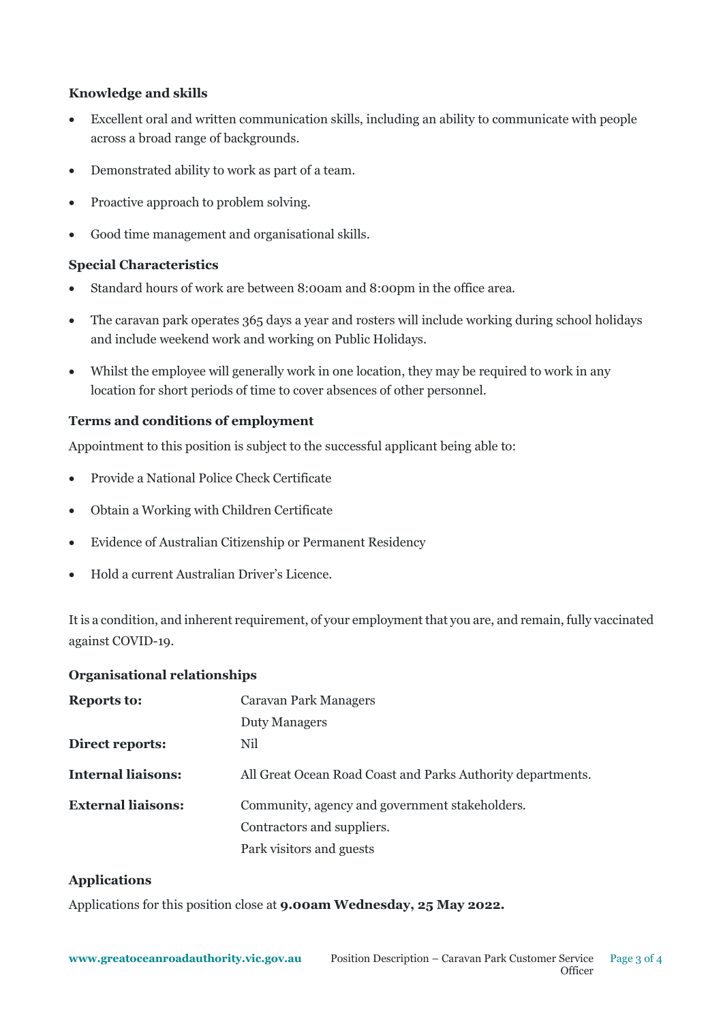## **Knowledge and skills**

- Excellent oral and written communication skills, including an ability to communicate with people across a broad range of backgrounds.
- Demonstrated ability to work as part of a team.
- Proactive approach to problem solving.
- Good time management and organisational skills.

## **Special Characteristics**

- Standard hours of work are between 8:00am and 8:00pm in the office area.
- The caravan park operates 365 days a year and rosters will include working during school holidays and include weekend work and working on Public Holidays.
- Whilst the employee will generally work in one location, they may be required to work in any location for short periods of time to cover absences of other personnel.

# **Terms and conditions of employment**

Appointment to this position is subject to the successful applicant being able to:

- Provide a National Police Check Certificate
- Obtain a Working with Children Certificate
- Evidence of Australian Citizenship or Permanent Residency
- Hold a current Australian Driver's Licence.

It is a condition, and inherent requirement, of your employment that you are, and remain, fully vaccinated against COVID-19.

## **Organisational relationships**

| <b>Reports to:</b>        | <b>Caravan Park Managers</b>                                |
|---------------------------|-------------------------------------------------------------|
|                           | Duty Managers                                               |
| Direct reports:           | Nil                                                         |
| <b>Internal liaisons:</b> | All Great Ocean Road Coast and Parks Authority departments. |
| <b>External liaisons:</b> | Community, agency and government stakeholders.              |
|                           | Contractors and suppliers.                                  |
|                           | Park visitors and guests                                    |

## **Applications**

Applications for this position close at **9.00am Wednesday, 25 May 2022.**